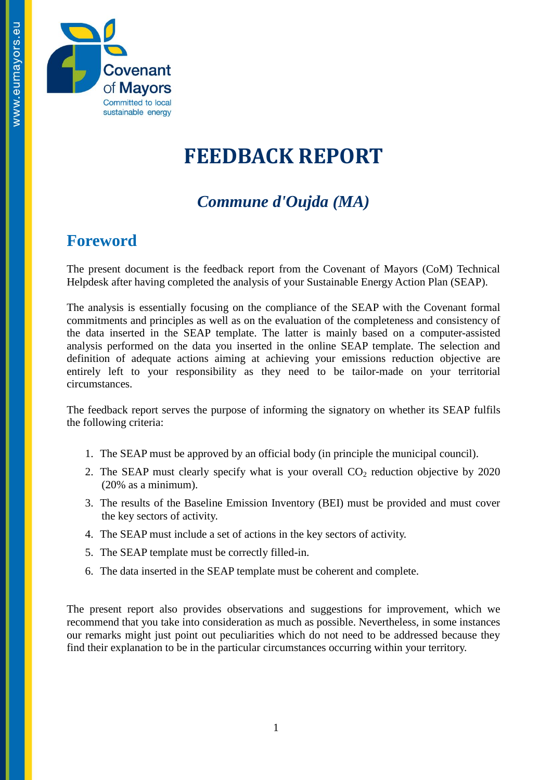

# **FEEDBACK REPORT**

### *Commune d'Oujda (MA)*

#### **Foreword**

The present document is the feedback report from the Covenant of Mayors (CoM) Technical Helpdesk after having completed the analysis of your Sustainable Energy Action Plan (SEAP).

The analysis is essentially focusing on the compliance of the SEAP with the Covenant formal commitments and principles as well as on the evaluation of the completeness and consistency of the data inserted in the SEAP template. The latter is mainly based on a computer-assisted analysis performed on the data you inserted in the online SEAP template. The selection and definition of adequate actions aiming at achieving your emissions reduction objective are entirely left to your responsibility as they need to be tailor-made on your territorial circumstances.

The feedback report serves the purpose of informing the signatory on whether its SEAP fulfils the following criteria:

- 1. The SEAP must be approved by an official body (in principle the municipal council).
- 2. The SEAP must clearly specify what is your overall  $CO<sub>2</sub>$  reduction objective by 2020 (20% as a minimum).
- 3. The results of the Baseline Emission Inventory (BEI) must be provided and must cover the key sectors of activity.
- 4. The SEAP must include a set of actions in the key sectors of activity.
- 5. The SEAP template must be correctly filled-in.
- 6. The data inserted in the SEAP template must be coherent and complete.

The present report also provides observations and suggestions for improvement, which we recommend that you take into consideration as much as possible. Nevertheless, in some instances our remarks might just point out peculiarities which do not need to be addressed because they find their explanation to be in the particular circumstances occurring within your territory.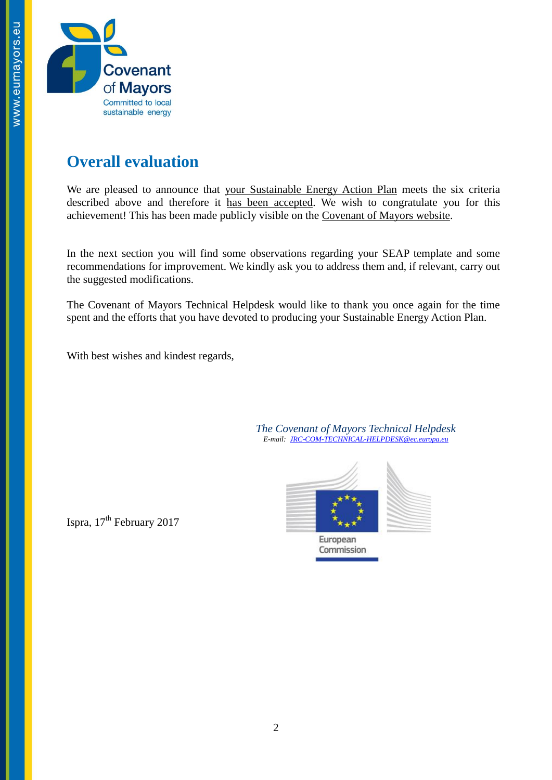

### **Overall evaluation**

We are pleased to announce that your Sustainable Energy Action Plan meets the six criteria described above and therefore it has been accepted. We wish to congratulate you for this achievement! This has been made publicly visible on the [Covenant of Mayors website.](http://www.eumayors.eu/actions/sustainable-energy-action-plans_en.html?city=&x=0&y=0&country_seap=&co2=&date_of_approval=&accepted=)

In the next section you will find some observations regarding your SEAP template and some recommendations for improvement. We kindly ask you to address them and, if relevant, carry out the suggested modifications.

The Covenant of Mayors Technical Helpdesk would like to thank you once again for the time spent and the efforts that you have devoted to producing your Sustainable Energy Action Plan.

With best wishes and kindest regards,

*The Covenant of Mayors Technical Helpdesk E-mail: [JRC-COM-TECHNICAL-HELPDESK@ec.europa.eu](mailto:JRC-COM-TECHNICAL-HELPDESK@ec.europa.eu)*



Ispra, 17<sup>th</sup> February 2017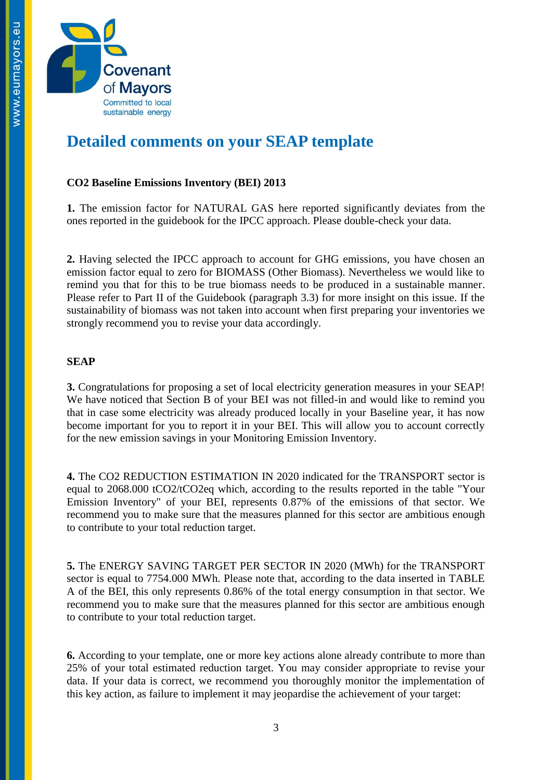

## **Detailed comments on your SEAP template**

#### **CO2 Baseline Emissions Inventory (BEI) 2013**

**1.** The emission factor for NATURAL GAS here reported significantly deviates from the ones reported in the guidebook for the IPCC approach. Please double-check your data.

**2.** Having selected the IPCC approach to account for GHG emissions, you have chosen an emission factor equal to zero for BIOMASS (Other Biomass). Nevertheless we would like to remind you that for this to be true biomass needs to be produced in a sustainable manner. Please refer to Part II of the Guidebook (paragraph 3.3) for more insight on this issue. If the sustainability of biomass was not taken into account when first preparing your inventories we strongly recommend you to revise your data accordingly.

#### **SEAP**

**3.** Congratulations for proposing a set of local electricity generation measures in your SEAP! We have noticed that Section B of your BEI was not filled-in and would like to remind you that in case some electricity was already produced locally in your Baseline year, it has now become important for you to report it in your BEI. This will allow you to account correctly for the new emission savings in your Monitoring Emission Inventory.

**4.** The CO2 REDUCTION ESTIMATION IN 2020 indicated for the TRANSPORT sector is equal to 2068.000 tCO2/tCO2eq which, according to the results reported in the table "Your Emission Inventory" of your BEI, represents 0.87% of the emissions of that sector. We recommend you to make sure that the measures planned for this sector are ambitious enough to contribute to your total reduction target.

**5.** The ENERGY SAVING TARGET PER SECTOR IN 2020 (MWh) for the TRANSPORT sector is equal to 7754.000 MWh. Please note that, according to the data inserted in TABLE A of the BEI, this only represents 0.86% of the total energy consumption in that sector. We recommend you to make sure that the measures planned for this sector are ambitious enough to contribute to your total reduction target.

**6.** According to your template, one or more key actions alone already contribute to more than 25% of your total estimated reduction target. You may consider appropriate to revise your data. If your data is correct, we recommend you thoroughly monitor the implementation of this key action, as failure to implement it may jeopardise the achievement of your target: